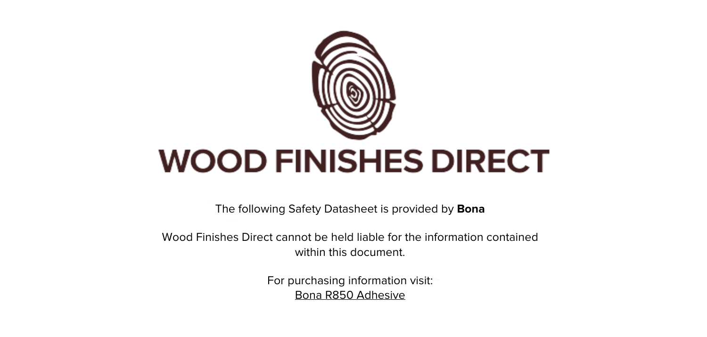

The following Safety Datasheet is provided by **Bona**

Wood Finishes Direct cannot be held liable for the information contained within this document.

> For purchasing information visit: [Bona R850 Adhesive](https://www.wood-finishes-direct.com/product/bona-r850)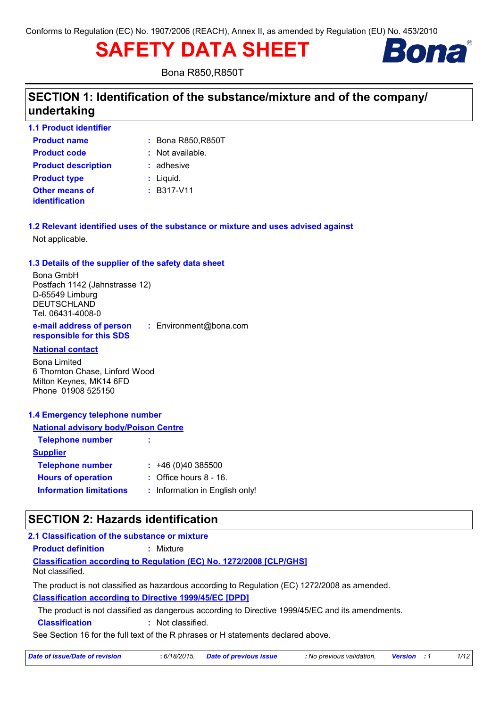# **SAFETY DATA SHEET**



**Bona R850, R850T** 

# SECTION 1: Identification of the substance/mixture and of the company/ undertaking

| <b>1.1 Product identifier</b>           |                    |
|-----------------------------------------|--------------------|
| <b>Product name</b>                     | : Bona R850, R850T |
| <b>Product code</b>                     | $:$ Not available. |
| <b>Product description</b>              | $:$ adhesive       |
| <b>Product type</b>                     | $:$ Liquid.        |
| <b>Other means of</b><br>identification | $:$ B317-V11       |

1.2 Relevant identified uses of the substance or mixture and uses advised against Not applicable.

### 1.3 Details of the supplier of the safety data sheet

**Bona GmbH** Postfach 1142 (Jahnstrasse 12) D-65549 Limburg **DEUTSCHLAND** Tel. 06431-4008-0

e-mail address of person : Environment@bona.com responsible for this SDS

### **National contact**

**Bona Limited** 6 Thornton Chase, Linford Wood Milton Keynes, MK14 6FD Phone 01908 525150

### 1.4 Emergency telephone number

| <b>National advisory body/Poison Centre</b> |                                   |  |  |  |
|---------------------------------------------|-----------------------------------|--|--|--|
| <b>Telephone number</b>                     | ÷                                 |  |  |  |
| <b>Supplier</b>                             |                                   |  |  |  |
| <b>Telephone number</b>                     | : 46(0)40385500                   |  |  |  |
| <b>Hours of operation</b>                   | $\therefore$ Office hours 8 - 16. |  |  |  |
| <b>Information limitations</b>              | : Information in English only!    |  |  |  |

# **SECTION 2: Hazards identification**

#### 2.1 Classification of the substance or mixture

: Mixture **Product definition** 

**Classification according to Regulation (EC) No. 1272/2008 [CLP/GHS]** Not classified.

The product is not classified as hazardous according to Regulation (EC) 1272/2008 as amended. **Classification according to Directive 1999/45/EC [DPD]** 

The product is not classified as dangerous according to Directive 1999/45/EC and its amendments.

**Classification** : Not classified.

See Section 16 for the full text of the R phrases or H statements declared above.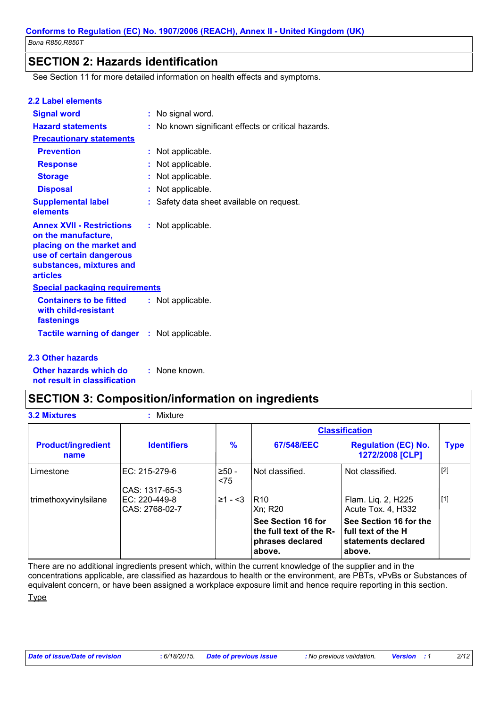### **SECTION 2: Hazards identification**

See Section 11 for more detailed information on health effects and symptoms.

| : No signal word.                                   |
|-----------------------------------------------------|
| : No known significant effects or critical hazards. |
|                                                     |
| : Not applicable.                                   |
| : Not applicable.                                   |
| : Not applicable.                                   |
| : Not applicable.                                   |
| : Safety data sheet available on request.           |
| : Not applicable.                                   |
| <b>Special packaging requirements</b>               |
| : Not applicable.                                   |
| <b>Tactile warning of danger : Not applicable.</b>  |
|                                                     |

#### 2.3 Other hazards

Other hazards which do : None known. not result in classification

# **SECTION 3: Composition/information on ingredients**

| <b>3.2 Mixtures</b>               | : Mixture                         |                |                                                                             |                                                                                 |             |
|-----------------------------------|-----------------------------------|----------------|-----------------------------------------------------------------------------|---------------------------------------------------------------------------------|-------------|
|                                   |                                   |                |                                                                             | <b>Classification</b>                                                           |             |
| <b>Product/ingredient</b><br>name | <b>Identifiers</b>                | $\frac{9}{6}$  | 67/548/EEC                                                                  | <b>Regulation (EC) No.</b><br>1272/2008 [CLP]                                   | <b>Type</b> |
| Limestone                         | EC: 215-279-6<br>CAS: 1317-65-3   | $>50-$<br>< 75 | Not classified.                                                             | Not classified.                                                                 | $[2]$       |
| trimethoxyvinylsilane             | $EC: 220-449-8$<br>CAS: 2768-02-7 | $\geq 1 - 3$   | IR10.<br>Xn: R20                                                            | Flam. Liq. 2, H225<br>Acute Tox. 4, H332                                        | $[1]$       |
|                                   |                                   |                | See Section 16 for<br>the full text of the R-<br>phrases declared<br>above. | See Section 16 for the<br>l full text of the H<br>statements declared<br>above. |             |

There are no additional ingredients present which, within the current knowledge of the supplier and in the concentrations applicable, are classified as hazardous to health or the environment, are PBTs, vPvBs or Substances of equivalent concern, or have been assigned a workplace exposure limit and hence require reporting in this section. **Type**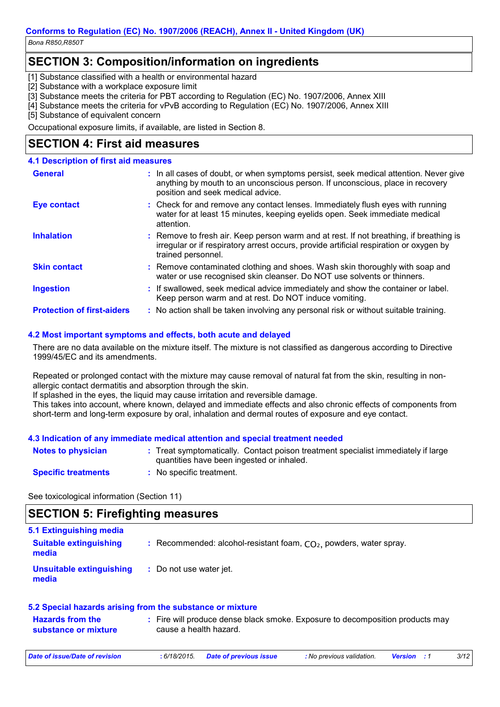Bona R850, R850T

# **SECTION 3: Composition/information on ingredients**

[1] Substance classified with a health or environmental hazard

[2] Substance with a workplace exposure limit

[3] Substance meets the criteria for PBT according to Regulation (EC) No. 1907/2006, Annex XIII

[4] Substance meets the criteria for vPvB according to Regulation (EC) No. 1907/2006, Annex XIII

[5] Substance of equivalent concern

Occupational exposure limits, if available, are listed in Section 8.

### **SECTION 4: First aid measures**

| <b>4.1 Description of first aid measures</b> |                                                                                                                                                                                                             |
|----------------------------------------------|-------------------------------------------------------------------------------------------------------------------------------------------------------------------------------------------------------------|
| <b>General</b>                               | : In all cases of doubt, or when symptoms persist, seek medical attention. Never give<br>anything by mouth to an unconscious person. If unconscious, place in recovery<br>position and seek medical advice. |
| <b>Eye contact</b>                           | : Check for and remove any contact lenses. Immediately flush eyes with running<br>water for at least 15 minutes, keeping eyelids open. Seek immediate medical<br>attention.                                 |
| <b>Inhalation</b>                            | : Remove to fresh air. Keep person warm and at rest. If not breathing, if breathing is<br>irregular or if respiratory arrest occurs, provide artificial respiration or oxygen by<br>trained personnel.      |
| <b>Skin contact</b>                          | : Remove contaminated clothing and shoes. Wash skin thoroughly with soap and<br>water or use recognised skin cleanser. Do NOT use solvents or thinners.                                                     |
| <b>Ingestion</b>                             | : If swallowed, seek medical advice immediately and show the container or label.<br>Keep person warm and at rest. Do NOT induce vomiting.                                                                   |
| <b>Protection of first-aiders</b>            | : No action shall be taken involving any personal risk or without suitable training.                                                                                                                        |

### 4.2 Most important symptoms and effects, both acute and delayed

There are no data available on the mixture itself. The mixture is not classified as dangerous according to Directive 1999/45/EC and its amendments.

Repeated or prolonged contact with the mixture may cause removal of natural fat from the skin, resulting in nonallergic contact dermatitis and absorption through the skin.

If splashed in the eyes, the liquid may cause irritation and reversible damage.

This takes into account, where known, delayed and immediate effects and also chronic effects of components from short-term and long-term exposure by oral, inhalation and dermal routes of exposure and eye contact.

### 4.3 Indication of any immediate medical attention and special treatment needed

| <b>Notes to physician</b>  | : Treat symptomatically. Contact poison treatment specialist immediately if large |
|----------------------------|-----------------------------------------------------------------------------------|
|                            | quantities have been ingested or inhaled.                                         |
| <b>Specific treatments</b> | : No specific treatment.                                                          |

See toxicological information (Section 11)

### **SECTION 5: Firefighting measures**

| 5.1 Extinguishing media                |                                                                      |
|----------------------------------------|----------------------------------------------------------------------|
| <b>Suitable extinguishing</b><br>media | : Recommended: alcohol-resistant foam, $CO2$ , powders, water spray. |
| Unsuitable extinguishing<br>media      | : Do not use water jet.                                              |

#### 5.2 Special hazards arising from the substance or mixture

| <b>Hazards from the</b> | : Fire will produce dense black smoke. Exposure to decomposition products may |
|-------------------------|-------------------------------------------------------------------------------|
| substance or mixture    | cause a health hazard.                                                        |

| Date of issue/Date of revision | : 6/18/2015. Date of previous issue | No previous validation. <b>Version</b> : 1 | 3/12 |
|--------------------------------|-------------------------------------|--------------------------------------------|------|
|                                |                                     |                                            |      |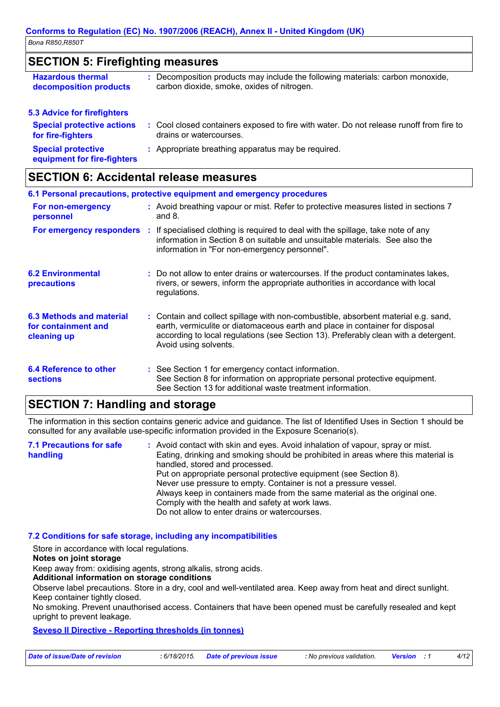Bona R850, R850T

### **SECTION 5: Firefighting measures**

| <b>Hazardous thermal</b><br>decomposition products       | : Decomposition products may include the following materials: carbon monoxide,<br>carbon dioxide, smoke, oxides of nitrogen. |
|----------------------------------------------------------|------------------------------------------------------------------------------------------------------------------------------|
| <b>5.3 Advice for firefighters</b>                       |                                                                                                                              |
| <b>Special protective actions</b><br>for fire-fighters   | : Cool closed containers exposed to fire with water. Do not release runoff from fire to<br>drains or watercourses.           |
| <b>Special protective</b><br>equipment for fire-fighters | : Appropriate breathing apparatus may be required.                                                                           |

# **SECTION 6: Accidental release measures**

|                                                                | 6.1 Personal precautions, protective equipment and emergency procedures                                                                                                                                                                                                            |
|----------------------------------------------------------------|------------------------------------------------------------------------------------------------------------------------------------------------------------------------------------------------------------------------------------------------------------------------------------|
| For non-emergency<br>personnel                                 | : Avoid breathing vapour or mist. Refer to protective measures listed in sections 7<br>and $8.$                                                                                                                                                                                    |
|                                                                | For emergency responders : If specialised clothing is required to deal with the spillage, take note of any<br>information in Section 8 on suitable and unsuitable materials. See also the<br>information in "For non-emergency personnel".                                         |
| <b>6.2 Environmental</b><br><b>precautions</b>                 | : Do not allow to enter drains or watercourses. If the product contaminates lakes,<br>rivers, or sewers, inform the appropriate authorities in accordance with local<br>regulations.                                                                                               |
| 6.3 Methods and material<br>for containment and<br>cleaning up | : Contain and collect spillage with non-combustible, absorbent material e.g. sand,<br>earth, vermiculite or diatomaceous earth and place in container for disposal<br>according to local regulations (see Section 13). Preferably clean with a detergent.<br>Avoid using solvents. |
| <b>6.4 Reference to other</b><br><b>sections</b>               | : See Section 1 for emergency contact information.<br>See Section 8 for information on appropriate personal protective equipment.<br>See Section 13 for additional waste treatment information.                                                                                    |

# **SECTION 7: Handling and storage**

The information in this section contains generic advice and quidance. The list of Identified Uses in Section 1 should be consulted for any available use-specific information provided in the Exposure Scenario(s).

| <b>7.1 Precautions for safe</b><br>handling | : Avoid contact with skin and eyes. Avoid inhalation of vapour, spray or mist.<br>Eating, drinking and smoking should be prohibited in areas where this material is |
|---------------------------------------------|---------------------------------------------------------------------------------------------------------------------------------------------------------------------|
|                                             | handled, stored and processed.                                                                                                                                      |
|                                             | Put on appropriate personal protective equipment (see Section 8).                                                                                                   |
|                                             | Never use pressure to empty. Container is not a pressure vessel.                                                                                                    |
|                                             | Always keep in containers made from the same material as the original one.                                                                                          |
|                                             | Comply with the health and safety at work laws.                                                                                                                     |
|                                             | Do not allow to enter drains or watercourses.                                                                                                                       |

### 7.2 Conditions for safe storage, including any incompatibilities

Store in accordance with local regulations.

Notes on joint storage

Keep away from: oxidising agents, strong alkalis, strong acids.

### Additional information on storage conditions

Observe label precautions. Store in a dry, cool and well-ventilated area. Keep away from heat and direct sunlight. Keep container tightly closed.

No smoking. Prevent unauthorised access. Containers that have been opened must be carefully resealed and kept upright to prevent leakage.

### **Seveso II Directive - Reporting thresholds (in tonnes)**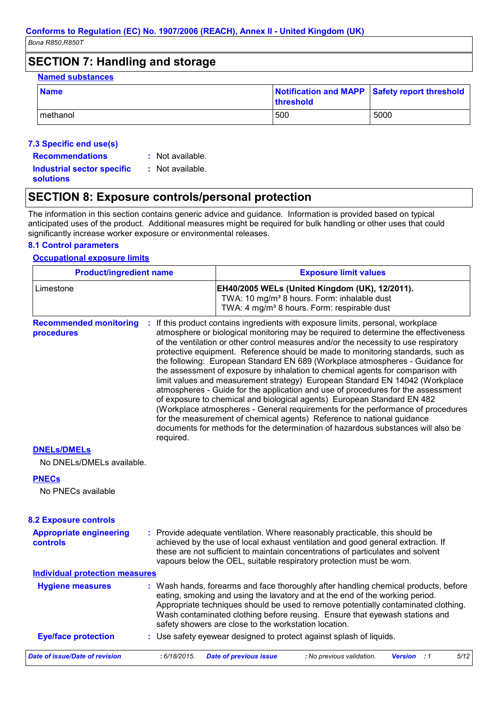Bona R850, R850T

# **SECTION 7: Handling and storage**

| <b>Named substances</b> |           |                                               |  |  |
|-------------------------|-----------|-----------------------------------------------|--|--|
| <b>Name</b>             | threshold | Notification and MAPP Safety report threshold |  |  |
| Imethanol               | 500       | 5000                                          |  |  |

### 7.3 Specific end use(s)

- **Recommendations**
- : Not available. : Not available.

**Industrial sector specific solutions** 

# **SECTION 8: Exposure controls/personal protection**

The information in this section contains generic advice and guidance. Information is provided based on typical anticipated uses of the product. Additional measures might be required for bulk handling or other uses that could significantly increase worker exposure or environmental releases.

### **8.1 Control parameters**

### **Occupational exposure limits**

| <b>Product/ingredient name</b>              |           | <b>Exposure limit values</b>                                                                                                                                         |                                                                                                                                                                                                                                                                                                                                                                                                                                                                                                                                                                                                                                                                                                                                                                                                                                                                                                                                                                                                                       |  |  |  |
|---------------------------------------------|-----------|----------------------------------------------------------------------------------------------------------------------------------------------------------------------|-----------------------------------------------------------------------------------------------------------------------------------------------------------------------------------------------------------------------------------------------------------------------------------------------------------------------------------------------------------------------------------------------------------------------------------------------------------------------------------------------------------------------------------------------------------------------------------------------------------------------------------------------------------------------------------------------------------------------------------------------------------------------------------------------------------------------------------------------------------------------------------------------------------------------------------------------------------------------------------------------------------------------|--|--|--|
| Limestone                                   |           | EH40/2005 WELs (United Kingdom (UK), 12/2011).<br>TWA: 10 mg/m <sup>3</sup> 8 hours. Form: inhalable dust<br>TWA: 4 mg/m <sup>3</sup> 8 hours. Form: respirable dust |                                                                                                                                                                                                                                                                                                                                                                                                                                                                                                                                                                                                                                                                                                                                                                                                                                                                                                                                                                                                                       |  |  |  |
| <b>Recommended monitoring</b><br>procedures | required. |                                                                                                                                                                      | : If this product contains ingredients with exposure limits, personal, workplace<br>atmosphere or biological monitoring may be required to determine the effectiveness<br>of the ventilation or other control measures and/or the necessity to use respiratory<br>protective equipment. Reference should be made to monitoring standards, such as<br>the following: European Standard EN 689 (Workplace atmospheres - Guidance for<br>the assessment of exposure by inhalation to chemical agents for comparison with<br>limit values and measurement strategy) European Standard EN 14042 (Workplace<br>atmospheres - Guide for the application and use of procedures for the assessment<br>of exposure to chemical and biological agents) European Standard EN 482<br>(Workplace atmospheres - General requirements for the performance of procedures<br>for the measurement of chemical agents) Reference to national guidance<br>documents for methods for the determination of hazardous substances will also be |  |  |  |
| <b>DNELS/DMELS</b>                          |           |                                                                                                                                                                      |                                                                                                                                                                                                                                                                                                                                                                                                                                                                                                                                                                                                                                                                                                                                                                                                                                                                                                                                                                                                                       |  |  |  |
| No DNELs/DMELs available.                   |           |                                                                                                                                                                      |                                                                                                                                                                                                                                                                                                                                                                                                                                                                                                                                                                                                                                                                                                                                                                                                                                                                                                                                                                                                                       |  |  |  |
| <b>PNECs</b>                                |           |                                                                                                                                                                      |                                                                                                                                                                                                                                                                                                                                                                                                                                                                                                                                                                                                                                                                                                                                                                                                                                                                                                                                                                                                                       |  |  |  |
| No PNECs available                          |           |                                                                                                                                                                      |                                                                                                                                                                                                                                                                                                                                                                                                                                                                                                                                                                                                                                                                                                                                                                                                                                                                                                                                                                                                                       |  |  |  |
| <b>8.2 Exposure controls</b>                |           |                                                                                                                                                                      |                                                                                                                                                                                                                                                                                                                                                                                                                                                                                                                                                                                                                                                                                                                                                                                                                                                                                                                                                                                                                       |  |  |  |
| <b>Appropriate engineering</b><br>controls  |           |                                                                                                                                                                      | : Provide adequate ventilation. Where reasonably practicable, this should be<br>achieved by the use of local exhaust ventilation and good general extraction. If<br>these are not sufficient to maintain concentrations of particulates and solvent<br>vapours below the OEL, suitable respiratory protection must be worn.                                                                                                                                                                                                                                                                                                                                                                                                                                                                                                                                                                                                                                                                                           |  |  |  |
| <b>Individual protection measures</b>       |           |                                                                                                                                                                      |                                                                                                                                                                                                                                                                                                                                                                                                                                                                                                                                                                                                                                                                                                                                                                                                                                                                                                                                                                                                                       |  |  |  |
| <b>Hygiene measures</b>                     |           | safety showers are close to the workstation location.                                                                                                                | : Wash hands, forearms and face thoroughly after handling chemical products, before<br>eating, smoking and using the lavatory and at the end of the working period.<br>Appropriate techniques should be used to remove potentially contaminated clothing.<br>Wash contaminated clothing before reusing. Ensure that eyewash stations and                                                                                                                                                                                                                                                                                                                                                                                                                                                                                                                                                                                                                                                                              |  |  |  |
| <b>Eye/face protection</b>                  |           |                                                                                                                                                                      | : Use safety eyewear designed to protect against splash of liquids.                                                                                                                                                                                                                                                                                                                                                                                                                                                                                                                                                                                                                                                                                                                                                                                                                                                                                                                                                   |  |  |  |
|                                             |           |                                                                                                                                                                      |                                                                                                                                                                                                                                                                                                                                                                                                                                                                                                                                                                                                                                                                                                                                                                                                                                                                                                                                                                                                                       |  |  |  |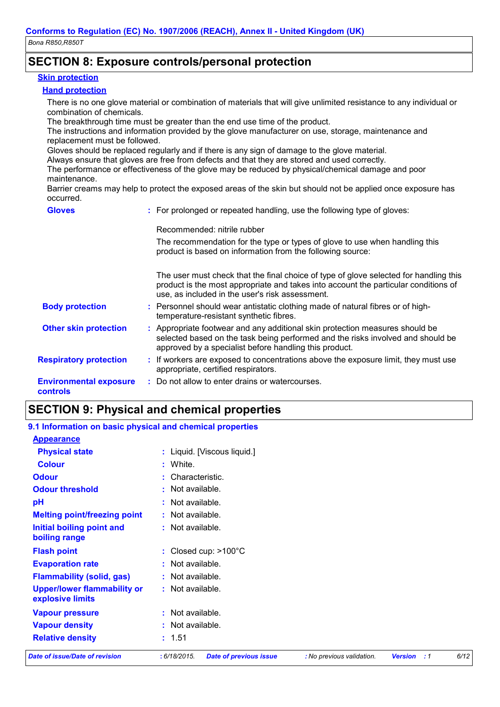### **SECTION 8: Exposure controls/personal protection**

#### **Skin protection**

#### **Hand protection**

There is no one glove material or combination of materials that will give unlimited resistance to any individual or combination of chemicals.

The breakthrough time must be greater than the end use time of the product.

The instructions and information provided by the glove manufacturer on use, storage, maintenance and replacement must be followed.

Gloves should be replaced regularly and if there is any sign of damage to the glove material.

Always ensure that gloves are free from defects and that they are stored and used correctly.

The performance or effectiveness of the glove may be reduced by physical/chemical damage and poor maintenance.

Barrier creams may help to protect the exposed areas of the skin but should not be applied once exposure has occurred.

| <b>Gloves</b>                             | : For prolonged or repeated handling, use the following type of gloves:                                                                                                                                                         |  |
|-------------------------------------------|---------------------------------------------------------------------------------------------------------------------------------------------------------------------------------------------------------------------------------|--|
|                                           | Recommended: nitrile rubber                                                                                                                                                                                                     |  |
|                                           | The recommendation for the type or types of glove to use when handling this<br>product is based on information from the following source:                                                                                       |  |
|                                           | The user must check that the final choice of type of glove selected for handling this<br>product is the most appropriate and takes into account the particular conditions of<br>use, as included in the user's risk assessment. |  |
| <b>Body protection</b>                    | : Personnel should wear antistatic clothing made of natural fibres or of high-<br>temperature-resistant synthetic fibres.                                                                                                       |  |
| <b>Other skin protection</b>              | : Appropriate footwear and any additional skin protection measures should be<br>selected based on the task being performed and the risks involved and should be<br>approved by a specialist before handling this product.       |  |
| <b>Respiratory protection</b>             | : If workers are exposed to concentrations above the exposure limit, they must use<br>appropriate, certified respirators.                                                                                                       |  |
| <b>Environmental exposure</b><br>controls | : Do not allow to enter drains or watercourses.                                                                                                                                                                                 |  |

### **SECTION 9: Physical and chemical properties**

| 9.1 Information on basic physical and chemical properties |                                               |                           |                                  |      |
|-----------------------------------------------------------|-----------------------------------------------|---------------------------|----------------------------------|------|
| <b>Appearance</b>                                         |                                               |                           |                                  |      |
| <b>Physical state</b>                                     | : Liquid. [Viscous liquid.]                   |                           |                                  |      |
| <b>Colour</b>                                             | : White.                                      |                           |                                  |      |
| <b>Odour</b>                                              | : Characteristic.                             |                           |                                  |      |
| <b>Odour threshold</b>                                    | $:$ Not available.                            |                           |                                  |      |
| pH                                                        | : Not available.                              |                           |                                  |      |
| <b>Melting point/freezing point</b>                       | $:$ Not available.                            |                           |                                  |      |
| Initial boiling point and<br>boiling range                | $:$ Not available.                            |                           |                                  |      |
| <b>Flash point</b>                                        | : Closed cup: $>100^{\circ}$ C                |                           |                                  |      |
| <b>Evaporation rate</b>                                   | : Not available.                              |                           |                                  |      |
| <b>Flammability (solid, gas)</b>                          | $:$ Not available.                            |                           |                                  |      |
| <b>Upper/lower flammability or</b><br>explosive limits    | $:$ Not available.                            |                           |                                  |      |
| <b>Vapour pressure</b>                                    | : Not available.                              |                           |                                  |      |
| <b>Vapour density</b>                                     | $:$ Not available.                            |                           |                                  |      |
| <b>Relative density</b>                                   | : 1.51                                        |                           |                                  |      |
| <b>Date of issue/Date of revision</b>                     | : 6/18/2015.<br><b>Date of previous issue</b> | : No previous validation. | <b>Version</b><br>$\therefore$ 1 | 6/12 |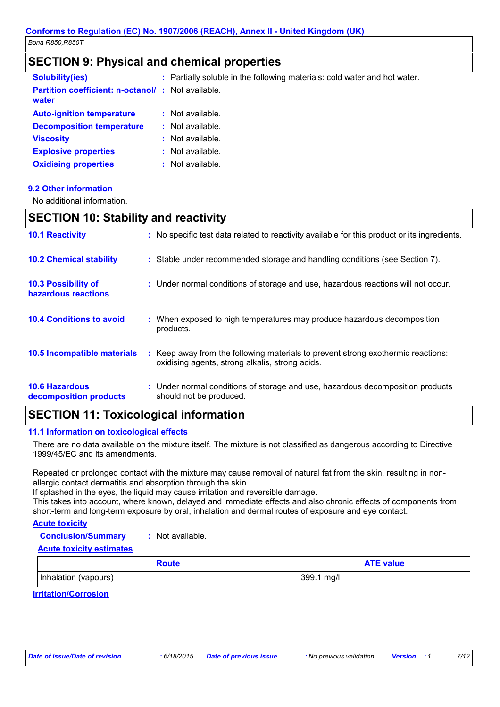### **SECTION 9: Physical and chemical properties**

| <b>Solubility(ies)</b>                                            | : Partially soluble in the following materials: cold water and hot water. |
|-------------------------------------------------------------------|---------------------------------------------------------------------------|
| <b>Partition coefficient: n-octanol/: Not available.</b><br>water |                                                                           |
| <b>Auto-ignition temperature</b>                                  | $:$ Not available.                                                        |
| <b>Decomposition temperature</b>                                  | $:$ Not available.                                                        |
| <b>Viscosity</b>                                                  | : Not available.                                                          |
| <b>Explosive properties</b>                                       | $:$ Not available.                                                        |
| <b>Oxidising properties</b>                                       | : Not available.                                                          |

### 9.2 Other information

No additional information.

### **SECTION 10: Stability and reactivity**

| <b>10.1 Reactivity</b>                            | : No specific test data related to reactivity available for this product or its ingredients.                                        |
|---------------------------------------------------|-------------------------------------------------------------------------------------------------------------------------------------|
| <b>10.2 Chemical stability</b>                    | : Stable under recommended storage and handling conditions (see Section 7).                                                         |
| <b>10.3 Possibility of</b><br>hazardous reactions | : Under normal conditions of storage and use, hazardous reactions will not occur.                                                   |
| <b>10.4 Conditions to avoid</b>                   | : When exposed to high temperatures may produce hazardous decomposition<br>products.                                                |
| 10.5 Incompatible materials                       | : Keep away from the following materials to prevent strong exothermic reactions:<br>oxidising agents, strong alkalis, strong acids. |
| <b>10.6 Hazardous</b><br>decomposition products   | : Under normal conditions of storage and use, hazardous decomposition products<br>should not be produced.                           |

# **SECTION 11: Toxicological information**

### 11.1 Information on toxicological effects

There are no data available on the mixture itself. The mixture is not classified as dangerous according to Directive 1999/45/EC and its amendments.

Repeated or prolonged contact with the mixture may cause removal of natural fat from the skin, resulting in nonallergic contact dermatitis and absorption through the skin.

If splashed in the eves, the liquid may cause irritation and reversible damage.

This takes into account, where known, delayed and immediate effects and also chronic effects of components from short-term and long-term exposure by oral, inhalation and dermal routes of exposure and eye contact.

### **Acute toxicity**

**Conclusion/Summary** : Not available.

#### **Acute toxicity estimates**

| Route                 | <b>ATE value</b> |
|-----------------------|------------------|
| (Inhalation (vapours) | 399.1<br>mg/l    |

**Irritation/Corrosion**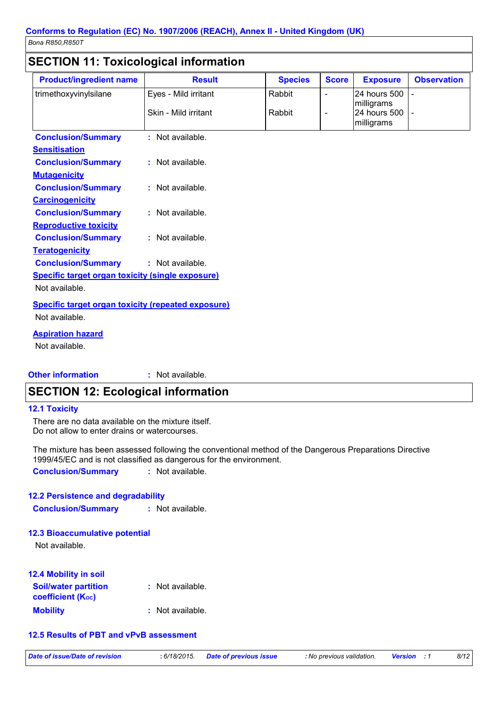# **SECTION 11: Toxicological information**

| <b>Product/ingredient name</b>                                       | <b>Result</b>        | <b>Species</b> | <b>Score</b>             | <b>Exposure</b>                          | <b>Observation</b> |
|----------------------------------------------------------------------|----------------------|----------------|--------------------------|------------------------------------------|--------------------|
| trimethoxyvinylsilane                                                | Eyes - Mild irritant | Rabbit         | $\overline{\phantom{a}}$ | 24 hours 500                             |                    |
|                                                                      | Skin - Mild irritant | Rabbit         | $\blacksquare$           | milligrams<br>24 hours 500<br>milligrams |                    |
| <b>Conclusion/Summary</b>                                            | : Not available.     |                |                          |                                          |                    |
| <b>Sensitisation</b>                                                 |                      |                |                          |                                          |                    |
| <b>Conclusion/Summary</b>                                            | : Not available.     |                |                          |                                          |                    |
| <b>Mutagenicity</b>                                                  |                      |                |                          |                                          |                    |
| <b>Conclusion/Summary</b>                                            | : Not available.     |                |                          |                                          |                    |
| <b>Carcinogenicity</b>                                               |                      |                |                          |                                          |                    |
| <b>Conclusion/Summary</b>                                            | : Not available.     |                |                          |                                          |                    |
| <b>Reproductive toxicity</b>                                         |                      |                |                          |                                          |                    |
| <b>Conclusion/Summary</b>                                            | : Not available.     |                |                          |                                          |                    |
| <b>Teratogenicity</b>                                                |                      |                |                          |                                          |                    |
| <b>Conclusion/Summary</b>                                            | : Not available.     |                |                          |                                          |                    |
| <b>Specific target organ toxicity (single exposure)</b>              |                      |                |                          |                                          |                    |
| Not available.                                                       |                      |                |                          |                                          |                    |
| Specific target organ toxicity (repeated exposure)<br>Not available. |                      |                |                          |                                          |                    |

### **Aspiration hazard**

Not available.

#### **Other information** : Not available.

# **SECTION 12: Ecological information**

#### **12.1 Toxicity**

There are no data available on the mixture itself. Do not allow to enter drains or watercourses.

The mixture has been assessed following the conventional method of the Dangerous Preparations Directive 1999/45/EC and is not classified as dangerous for the environment.

**Conclusion/Summary** : Not available.

### 12.2 Persistence and degradability

**Conclusion/Summary** : Not available.

#### **12.3 Bioaccumulative potential**

Not available.

| <b>12.4 Mobility in soil</b>                                         |                  |
|----------------------------------------------------------------------|------------------|
| <b>Soil/water partition</b><br><b>coefficient</b> (K <sub>oc</sub> ) | : Not available. |
| <b>Mobility</b>                                                      | : Not available. |

### 12.5 Results of PBT and vPvB assessment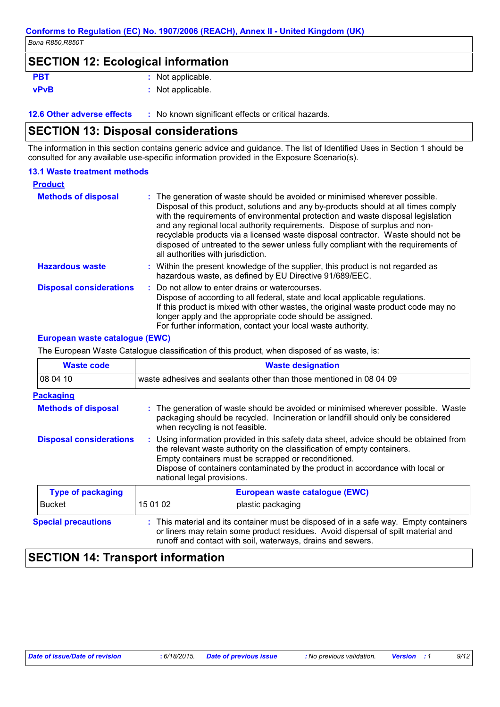### **SECTION 12: Ecological information**

| <b>PBT</b>     | : Not applicable        |
|----------------|-------------------------|
| <b>SERVITY</b> | الملحاط والمرمرة المحلة |

#### : Not applicable. **vPvB**

12.6 Other adverse effects : No known significant effects or critical hazards.

### **SECTION 13: Disposal considerations**

The information in this section contains generic advice and guidance. The list of Identified Uses in Section 1 should be consulted for any available use-specific information provided in the Exposure Scenario(s).

### **13.1 Waste treatment methods**

| <b>Product</b>                 |                                                                                                                                                                                                                                                                                                                                                                                                                                                                                                                                                      |
|--------------------------------|------------------------------------------------------------------------------------------------------------------------------------------------------------------------------------------------------------------------------------------------------------------------------------------------------------------------------------------------------------------------------------------------------------------------------------------------------------------------------------------------------------------------------------------------------|
| <b>Methods of disposal</b>     | : The generation of waste should be avoided or minimised wherever possible.<br>Disposal of this product, solutions and any by-products should at all times comply<br>with the requirements of environmental protection and waste disposal legislation<br>and any regional local authority requirements. Dispose of surplus and non-<br>recyclable products via a licensed waste disposal contractor. Waste should not be<br>disposed of untreated to the sewer unless fully compliant with the requirements of<br>all authorities with jurisdiction. |
| <b>Hazardous waste</b>         | : Within the present knowledge of the supplier, this product is not regarded as<br>hazardous waste, as defined by EU Directive 91/689/EEC.                                                                                                                                                                                                                                                                                                                                                                                                           |
| <b>Disposal considerations</b> | : Do not allow to enter drains or watercourses.<br>Dispose of according to all federal, state and local applicable regulations.<br>If this product is mixed with other wastes, the original waste product code may no<br>longer apply and the appropriate code should be assigned.<br>For further information, contact your local waste authority.                                                                                                                                                                                                   |

### **European waste cataloque (EWC)**

The European Waste Catalogue classification of this product, when disposed of as waste, is:

| <b>Waste code</b>              | <b>Waste designation</b>                                                                                                                                                                                                                                                                                                                |  |  |
|--------------------------------|-----------------------------------------------------------------------------------------------------------------------------------------------------------------------------------------------------------------------------------------------------------------------------------------------------------------------------------------|--|--|
| 08 04 10                       | waste adhesives and sealants other than those mentioned in 08 04 09                                                                                                                                                                                                                                                                     |  |  |
| <b>Packaging</b>               |                                                                                                                                                                                                                                                                                                                                         |  |  |
| <b>Methods of disposal</b>     | : The generation of waste should be avoided or minimised wherever possible. Waste<br>packaging should be recycled. Incineration or landfill should only be considered<br>when recycling is not feasible.                                                                                                                                |  |  |
| <b>Disposal considerations</b> | : Using information provided in this safety data sheet, advice should be obtained from<br>the relevant waste authority on the classification of empty containers.<br>Empty containers must be scrapped or reconditioned.<br>Dispose of containers contaminated by the product in accordance with local or<br>national legal provisions. |  |  |
| <b>Type of packaging</b>       | European waste catalogue (EWC)                                                                                                                                                                                                                                                                                                          |  |  |
| <b>Bucket</b>                  | 15 01 02<br>plastic packaging                                                                                                                                                                                                                                                                                                           |  |  |
| <b>Special precautions</b>     | : This material and its container must be disposed of in a safe way. Empty containers<br>or liners may retain some product residues. Avoid dispersal of spilt material and<br>runoff and contact with soil, waterways, drains and sewers.                                                                                               |  |  |

# **SECTION 14: Transport information**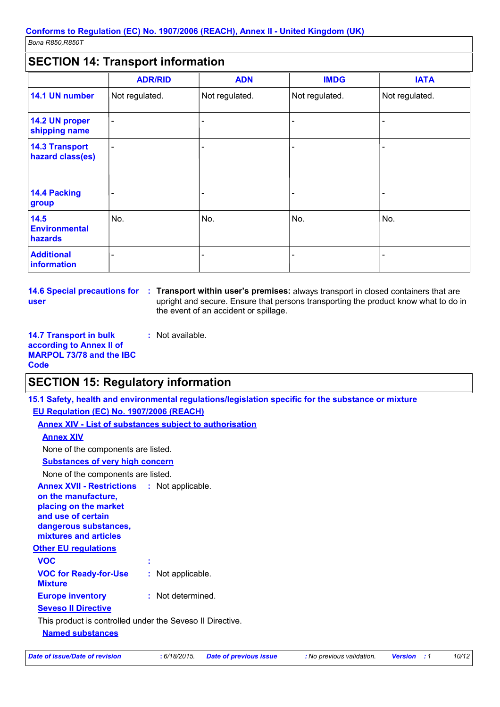# $|\mathsf{C}\mathsf{E}\mathsf{C}\mathsf{T}$ IMM 14. Tranenort information

|                                           | <b>ADR/RID</b>           | <b>ADN</b>     | <b>IMDG</b>    | <b>IATA</b>    |
|-------------------------------------------|--------------------------|----------------|----------------|----------------|
| 14.1 UN number                            | Not regulated.           | Not regulated. | Not regulated. | Not regulated. |
| 14.2 UN proper<br>shipping name           | $\overline{\phantom{a}}$ |                |                |                |
| <b>14.3 Transport</b><br>hazard class(es) | $\overline{\phantom{a}}$ |                |                |                |
| <b>14.4 Packing</b><br>group              |                          |                |                |                |
| 14.5<br><b>Environmental</b><br>hazards   | No.                      | No.            | No.            | No.            |
| <b>Additional</b><br>information          |                          |                |                |                |

user

14.6 Special precautions for : Transport within user's premises: always transport in closed containers that are upright and secure. Ensure that persons transporting the product know what to do in the event of an accident or spillage.

**14.7 Transport in bulk** : Not available. according to Annex II of **MARPOL 73/78 and the IBC Code** 

### **SECTION 15: Regulatory information**

15.1 Safety, health and environmental regulations/legislation specific for the substance or mixture

### EU Regulation (EC) No. 1907/2006 (REACH)

**Annex XIV - List of substances subject to authorisation** 

| <b>Annex XIV</b>                                                                                                                                                           |                   |  |  |
|----------------------------------------------------------------------------------------------------------------------------------------------------------------------------|-------------------|--|--|
| None of the components are listed.                                                                                                                                         |                   |  |  |
| <b>Substances of very high concern</b>                                                                                                                                     |                   |  |  |
| None of the components are listed.                                                                                                                                         |                   |  |  |
| <b>Annex XVII - Restrictions : Not applicable.</b><br>on the manufacture,<br>placing on the market<br>and use of certain<br>dangerous substances,<br>mixtures and articles |                   |  |  |
| <b>Other EU regulations</b>                                                                                                                                                |                   |  |  |
| <b>VOC</b>                                                                                                                                                                 |                   |  |  |
| <b>VOC for Ready-for-Use</b><br><b>Mixture</b>                                                                                                                             | : Not applicable. |  |  |
| <b>Europe inventory</b>                                                                                                                                                    | : Not determined. |  |  |
| <b>Seveso II Directive</b>                                                                                                                                                 |                   |  |  |
| This product is controlled under the Seveso II Directive.                                                                                                                  |                   |  |  |
| <b>Named substances</b>                                                                                                                                                    |                   |  |  |

#### **Date of issue/Date of revision**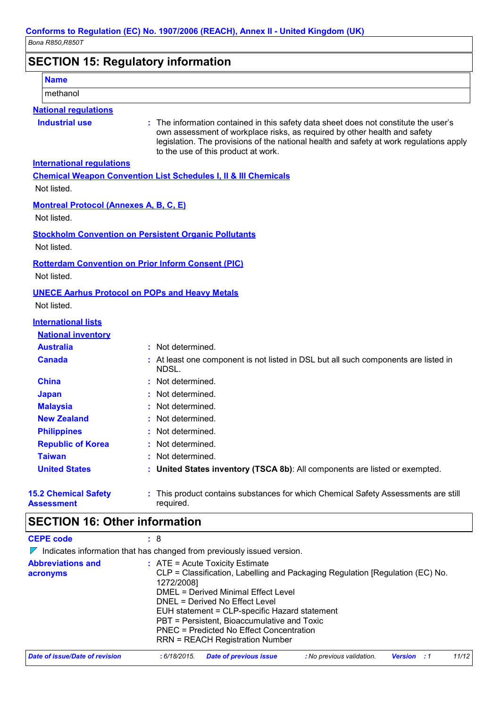| Conforms to Regulation (EC) No. 1907/2006 (REACH), Annex II - United Kingdom (UK) |                                                                                                                                                                                                                                                                                                     |  |
|-----------------------------------------------------------------------------------|-----------------------------------------------------------------------------------------------------------------------------------------------------------------------------------------------------------------------------------------------------------------------------------------------------|--|
| Bona R850, R850T<br><b>SECTION 15: Regulatory information</b>                     |                                                                                                                                                                                                                                                                                                     |  |
|                                                                                   |                                                                                                                                                                                                                                                                                                     |  |
| methanol                                                                          |                                                                                                                                                                                                                                                                                                     |  |
| <b>National regulations</b>                                                       |                                                                                                                                                                                                                                                                                                     |  |
| <b>Industrial use</b>                                                             | : The information contained in this safety data sheet does not constitute the user's<br>own assessment of workplace risks, as required by other health and safety<br>legislation. The provisions of the national health and safety at work regulations apply<br>to the use of this product at work. |  |
| <b>International regulations</b>                                                  |                                                                                                                                                                                                                                                                                                     |  |
|                                                                                   | <b>Chemical Weapon Convention List Schedules I, II &amp; III Chemicals</b>                                                                                                                                                                                                                          |  |
| Not listed.                                                                       |                                                                                                                                                                                                                                                                                                     |  |
| <b>Montreal Protocol (Annexes A, B, C, E)</b>                                     |                                                                                                                                                                                                                                                                                                     |  |
| Not listed.                                                                       |                                                                                                                                                                                                                                                                                                     |  |
|                                                                                   | <b>Stockholm Convention on Persistent Organic Pollutants</b>                                                                                                                                                                                                                                        |  |
| Not listed.                                                                       |                                                                                                                                                                                                                                                                                                     |  |
| Not listed.                                                                       | <b>Rotterdam Convention on Prior Inform Consent (PIC)</b>                                                                                                                                                                                                                                           |  |
|                                                                                   | <b>UNECE Aarhus Protocol on POPs and Heavy Metals</b>                                                                                                                                                                                                                                               |  |

Not listed.

# **International lists**

| <b>National inventory</b>   |                                                                                              |
|-----------------------------|----------------------------------------------------------------------------------------------|
| <b>Australia</b>            | : Not determined.                                                                            |
| <b>Canada</b>               | : At least one component is not listed in DSL but all such components are listed in<br>NDSL. |
| <b>China</b>                | : Not determined.                                                                            |
| <b>Japan</b>                | : Not determined.                                                                            |
| <b>Malaysia</b>             | : Not determined.                                                                            |
| <b>New Zealand</b>          | : Not determined.                                                                            |
| <b>Philippines</b>          | : Not determined.                                                                            |
| <b>Republic of Korea</b>    | : Not determined.                                                                            |
| <b>Taiwan</b>               | : Not determined.                                                                            |
| <b>United States</b>        | : United States inventory (TSCA 8b): All components are listed or exempted.                  |
| <b>15.2 Chemical Safety</b> | : This product contains substances for which Chemical Safety Assessments are stil            |

**Assessment** 

**CEPE code** 

Assessments are still ct contains substances for which Chemical Safe **THIS PIUU** required.

# **SECTION 16: Other information**

 $\begin{array}{cc} . & 8 \end{array}$ 

 $\nabla$  Indicates information that has changed from previously issued version.

| <b>Abbreviations and</b><br>acronyms | $\therefore$ ATE = Acute Toxicity Estimate<br>CLP = Classification, Labelling and Packaging Regulation [Regulation (EC) No.<br>1272/2008]<br><b>DMEL = Derived Minimal Effect Level</b><br>DNEL = Derived No Effect Level<br>EUH statement = CLP-specific Hazard statement<br>PBT = Persistent, Bioaccumulative and Toxic<br>PNEC = Predicted No Effect Concentration<br><b>RRN = REACH Registration Number</b> |
|--------------------------------------|-----------------------------------------------------------------------------------------------------------------------------------------------------------------------------------------------------------------------------------------------------------------------------------------------------------------------------------------------------------------------------------------------------------------|
| Date of issue/Date of revision       | 11/12<br><b>Date of previous issue</b><br>: No previous validation.<br>: 6/18/2015.<br><b>Version</b> : 1                                                                                                                                                                                                                                                                                                       |